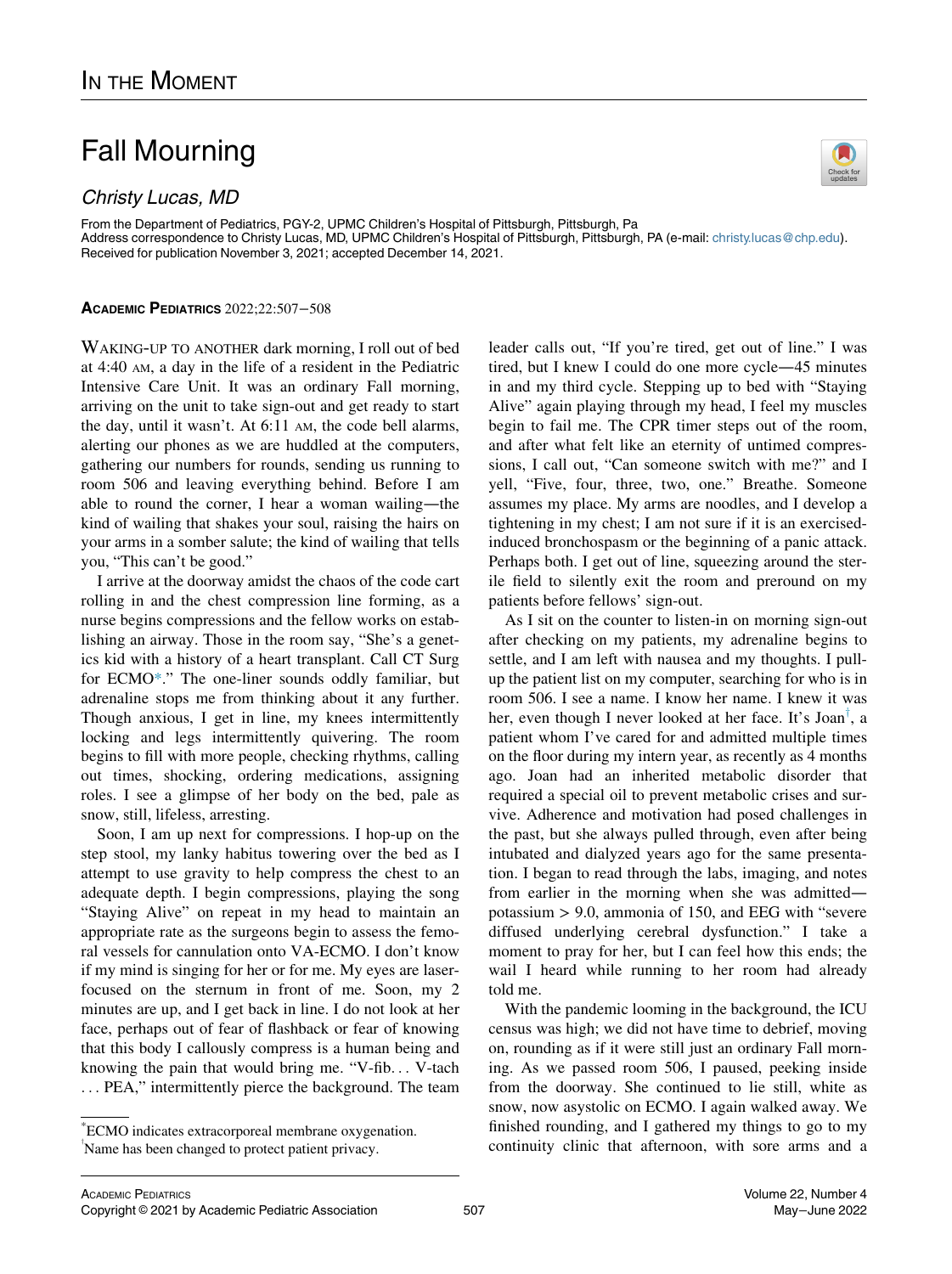## Fall Mourning

## Christy Lucas, MD



From the Department of Pediatrics, PGY-2, UPMC Children's Hospital of Pittsburgh, Pittsburgh, Pa Address correspondence to Christy Lucas, MD, UPMC Children's Hospital of Pittsburgh, Pittsburgh, PA (e-mail: [christy.lucas@chp.edu](mailto:christy.lucas@chp.edu)). Received for publication November 3, 2021; accepted December 14, 2021.

## ACADEMIC PEDIATRICS 2022;22:507−508

WAKING-UP TO ANOTHER dark morning, I roll out of bed at 4:40 AM, a day in the life of a resident in the Pediatric Intensive Care Unit. It was an ordinary Fall morning, arriving on the unit to take sign-out and get ready to start the day, until it wasn't. At 6:11 AM, the code bell alarms, alerting our phones as we are huddled at the computers, gathering our numbers for rounds, sending us running to room 506 and leaving everything behind. Before I am able to round the corner, I hear a woman wailing—the kind of wailing that shakes your soul, raising the hairs on your arms in a somber salute; the kind of wailing that tells you, "This can't be good."

I arrive at the doorway amidst the chaos of the code cart rolling in and the chest compression line forming, as a nurse begins compressions and the fellow works on establishing an airway. Those in the room say, "She's a genetics kid with a history of a heart transplant. Call CT Surg for ECMO[\\*.](#page-0-0)" The one-liner sounds oddly familiar, but adrenaline stops me from thinking about it any further. Though anxious, I get in line, my knees intermittently locking and legs intermittently quivering. The room begins to fill with more people, checking rhythms, calling out times, shocking, ordering medications, assigning roles. I see a glimpse of her body on the bed, pale as snow, still, lifeless, arresting.

Soon, I am up next for compressions. I hop-up on the step stool, my lanky habitus towering over the bed as I attempt to use gravity to help compress the chest to an adequate depth. I begin compressions, playing the song "Staying Alive" on repeat in my head to maintain an appropriate rate as the surgeons begin to assess the femoral vessels for cannulation onto VA-ECMO. I don't know if my mind is singing for her or for me. My eyes are laserfocused on the sternum in front of me. Soon, my 2 minutes are up, and I get back in line. I do not look at her face, perhaps out of fear of flashback or fear of knowing that this body I callously compress is a human being and knowing the pain that would bring me. "V-fib... V-tach ... PEA," intermittently pierce the background. The team leader calls out, "If you're tired, get out of line." I was tired, but I knew I could do one more cycle—45 minutes in and my third cycle. Stepping up to bed with "Staying Alive" again playing through my head, I feel my muscles begin to fail me. The CPR timer steps out of the room, and after what felt like an eternity of untimed compressions, I call out, "Can someone switch with me?" and I yell, "Five, four, three, two, one." Breathe. Someone assumes my place. My arms are noodles, and I develop a tightening in my chest; I am not sure if it is an exercisedinduced bronchospasm or the beginning of a panic attack. Perhaps both. I get out of line, squeezing around the sterile field to silently exit the room and preround on my patients before fellows' sign-out.

As I sit on the counter to listen-in on morning sign-out after checking on my patients, my adrenaline begins to settle, and I am left with nausea and my thoughts. I pullup the patient list on my computer, searching for who is in room 506. I see a name. I know her name. I knew it was her, even though I never looked at her face. It's Joan<sup>†</sup>, a patient whom I've cared for and admitted multiple times on the floor during my intern year, as recently as 4 months ago. Joan had an inherited metabolic disorder that required a special oil to prevent metabolic crises and survive. Adherence and motivation had posed challenges in the past, but she always pulled through, even after being intubated and dialyzed years ago for the same presentation. I began to read through the labs, imaging, and notes from earlier in the morning when she was admitted potassium > 9.0, ammonia of 150, and EEG with "severe diffused underlying cerebral dysfunction." I take a moment to pray for her, but I can feel how this ends; the wail I heard while running to her room had already told me.

With the pandemic looming in the background, the ICU census was high; we did not have time to debrief, moving on, rounding as if it were still just an ordinary Fall morning. As we passed room 506, I paused, peeking inside from the doorway. She continued to lie still, white as snow, now asystolic on ECMO. I again walked away. We finished rounding, and I gathered my things to go to my continuity clinic that afternoon, with sore arms and a

<span id="page-0-1"></span><span id="page-0-0"></span><sup>\*</sup> ECMO indicates extracorporeal membrane oxygenation. Name has been changed to protect patient privacy.